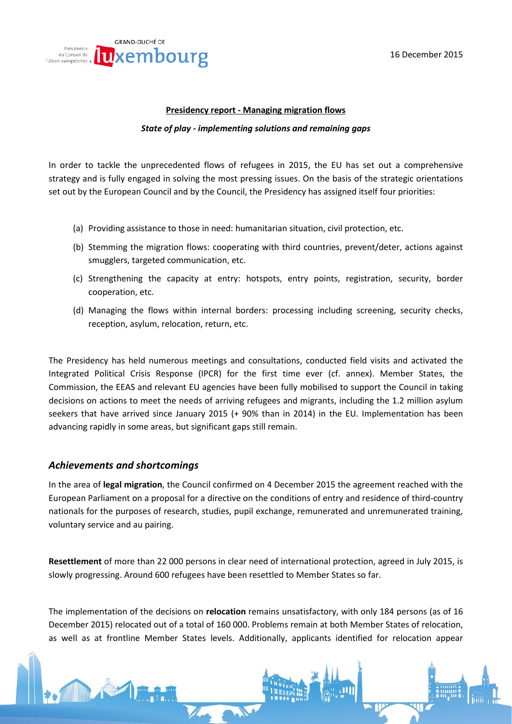

#### **Presidency report - Managing migration flows**

#### *State of play - implementing solutions and remaining gaps*

In order to tackle the unprecedented flows of refugees in 2015, the EU has set out a comprehensive strategy and is fully engaged in solving the most pressing issues. On the basis of the strategic orientations set out by the European Council and by the Council, the Presidency has assigned itself four priorities:

- (a) Providing assistance to those in need: humanitarian situation, civil protection, etc.
- (b) Stemming the migration flows: cooperating with third countries, prevent/deter, actions against smugglers, targeted communication, etc.
- (c) Strengthening the capacity at entry: hotspots, entry points, registration, security, border cooperation, etc.
- (d) Managing the flows within internal borders: processing including screening, security checks, reception, asylum, relocation, return, etc.

The Presidency has held numerous meetings and consultations, conducted field visits and activated the Integrated Political Crisis Response (IPCR) for the first time ever (cf. annex). Member States, the Commission, the EEAS and relevant EU agencies have been fully mobilised to support the Council in taking decisions on actions to meet the needs of arriving refugees and migrants, including the 1.2 million asylum seekers that have arrived since January 2015 (+ 90% than in 2014) in the EU. Implementation has been advancing rapidly in some areas, but significant gaps still remain.

## *Achievements and shortcomings*

In the area of **legal migration**, the Council confirmed on 4 December 2015 the agreement reached with the European Parliament on a proposal for a directive on the conditions of entry and residence of third-country nationals for the purposes of research, studies, pupil exchange, remunerated and unremunerated training, voluntary service and au pairing.

**Resettlement** of more than 22 000 persons in clear need of international protection, agreed in July 2015, is slowly progressing. Around 600 refugees have been resettled to Member States so far.

The implementation of the decisions on **relocation** remains unsatisfactory, with only 184 persons (as of 16 December 2015) relocated out of a total of 160 000. Problems remain at both Member States of relocation, as well as at frontline Member States levels. Additionally, applicants identified for relocation appear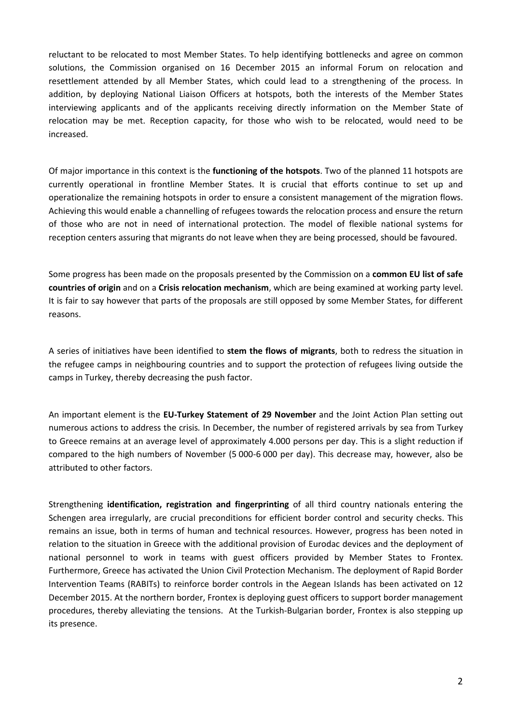reluctant to be relocated to most Member States. To help identifying bottlenecks and agree on common solutions, the Commission organised on 16 December 2015 an informal Forum on relocation and resettlement attended by all Member States, which could lead to a strengthening of the process. In addition, by deploying National Liaison Officers at hotspots, both the interests of the Member States interviewing applicants and of the applicants receiving directly information on the Member State of relocation may be met. Reception capacity, for those who wish to be relocated, would need to be increased.

Of major importance in this context is the **functioning of the hotspots**. Two of the planned 11 hotspots are currently operational in frontline Member States. It is crucial that efforts continue to set up and operationalize the remaining hotspots in order to ensure a consistent management of the migration flows. Achieving this would enable a channelling of refugees towards the relocation process and ensure the return of those who are not in need of international protection. The model of flexible national systems for reception centers assuring that migrants do not leave when they are being processed, should be favoured.

Some progress has been made on the proposals presented by the Commission on a **common EU list of safe countries of origin** and on a **Crisis relocation mechanism**, which are being examined at working party level. It is fair to say however that parts of the proposals are still opposed by some Member States, for different reasons.

A series of initiatives have been identified to **stem the flows of migrants**, both to redress the situation in the refugee camps in neighbouring countries and to support the protection of refugees living outside the camps in Turkey, thereby decreasing the push factor.

An important element is the **EU-Turkey Statement of 29 November** and the Joint Action Plan setting out numerous actions to address the crisis*.* In December, the number of registered arrivals by sea from Turkey to Greece remains at an average level of approximately 4.000 persons per day. This is a slight reduction if compared to the high numbers of November (5 000-6 000 per day). This decrease may, however, also be attributed to other factors.

Strengthening **identification, registration and fingerprinting** of all third country nationals entering the Schengen area irregularly, are crucial preconditions for efficient border control and security checks. This remains an issue, both in terms of human and technical resources. However, progress has been noted in relation to the situation in Greece with the additional provision of Eurodac devices and the deployment of national personnel to work in teams with guest officers provided by Member States to Frontex. Furthermore, Greece has activated the Union Civil Protection Mechanism. The deployment of Rapid Border Intervention Teams (RABITs) to reinforce border controls in the Aegean Islands has been activated on 12 December 2015. At the northern border, Frontex is deploying guest officers to support border management procedures, thereby alleviating the tensions. At the Turkish-Bulgarian border, Frontex is also stepping up its presence.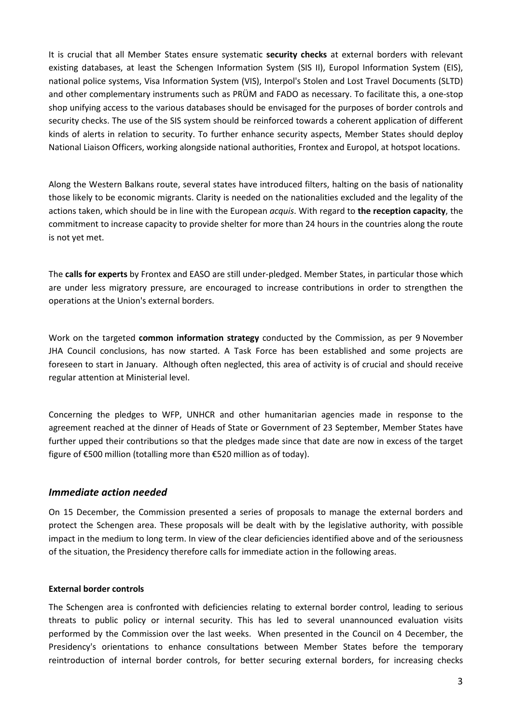It is crucial that all Member States ensure systematic **security checks** at external borders with relevant existing databases, at least the Schengen Information System (SIS II), Europol Information System (EIS), national police systems, Visa Information System (VIS), Interpol's Stolen and Lost Travel Documents (SLTD) and other complementary instruments such as PRÜM and FADO as necessary. To facilitate this, a one-stop shop unifying access to the various databases should be envisaged for the purposes of border controls and security checks. The use of the SIS system should be reinforced towards a coherent application of different kinds of alerts in relation to security. To further enhance security aspects, Member States should deploy National Liaison Officers, working alongside national authorities, Frontex and Europol, at hotspot locations.

Along the Western Balkans route, several states have introduced filters, halting on the basis of nationality those likely to be economic migrants. Clarity is needed on the nationalities excluded and the legality of the actions taken, which should be in line with the European *acquis*. With regard to **the reception capacity**, the commitment to increase capacity to provide shelter for more than 24 hours in the countries along the route is not yet met.

The **calls for experts** by Frontex and EASO are still under-pledged. Member States, in particular those which are under less migratory pressure, are encouraged to increase contributions in order to strengthen the operations at the Union's external borders.

Work on the targeted **common information strategy** conducted by the Commission, as per 9 November JHA Council conclusions, has now started. A Task Force has been established and some projects are foreseen to start in January. Although often neglected, this area of activity is of crucial and should receive regular attention at Ministerial level.

Concerning the pledges to WFP, UNHCR and other humanitarian agencies made in response to the agreement reached at the dinner of Heads of State or Government of 23 September, Member States have further upped their contributions so that the pledges made since that date are now in excess of the target figure of €500 million (totalling more than €520 million as of today).

# *Immediate action needed*

On 15 December, the Commission presented a series of proposals to manage the external borders and protect the Schengen area. These proposals will be dealt with by the legislative authority, with possible impact in the medium to long term. In view of the clear deficiencies identified above and of the seriousness of the situation, the Presidency therefore calls for immediate action in the following areas.

## **External border controls**

The Schengen area is confronted with deficiencies relating to external border control, leading to serious threats to public policy or internal security. This has led to several unannounced evaluation visits performed by the Commission over the last weeks. When presented in the Council on 4 December, the Presidency's orientations to enhance consultations between Member States before the temporary reintroduction of internal border controls, for better securing external borders, for increasing checks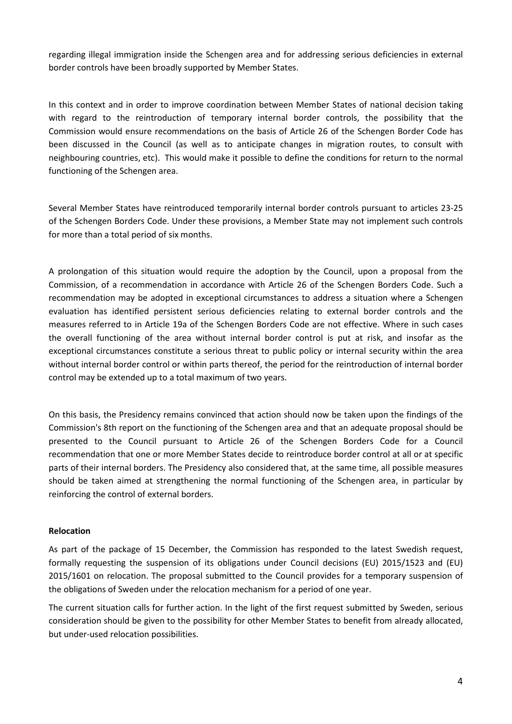regarding illegal immigration inside the Schengen area and for addressing serious deficiencies in external border controls have been broadly supported by Member States.

In this context and in order to improve coordination between Member States of national decision taking with regard to the reintroduction of temporary internal border controls, the possibility that the Commission would ensure recommendations on the basis of Article 26 of the Schengen Border Code has been discussed in the Council (as well as to anticipate changes in migration routes, to consult with neighbouring countries, etc). This would make it possible to define the conditions for return to the normal functioning of the Schengen area.

Several Member States have reintroduced temporarily internal border controls pursuant to articles 23-25 of the Schengen Borders Code. Under these provisions, a Member State may not implement such controls for more than a total period of six months.

A prolongation of this situation would require the adoption by the Council, upon a proposal from the Commission, of a recommendation in accordance with Article 26 of the Schengen Borders Code. Such a recommendation may be adopted in exceptional circumstances to address a situation where a Schengen evaluation has identified persistent serious deficiencies relating to external border controls and the measures referred to in Article 19a of the Schengen Borders Code are not effective. Where in such cases the overall functioning of the area without internal border control is put at risk, and insofar as the exceptional circumstances constitute a serious threat to public policy or internal security within the area without internal border control or within parts thereof, the period for the reintroduction of internal border control may be extended up to a total maximum of two years.

On this basis, the Presidency remains convinced that action should now be taken upon the findings of the Commission's 8th report on the functioning of the Schengen area and that an adequate proposal should be presented to the Council pursuant to Article 26 of the Schengen Borders Code for a Council recommendation that one or more Member States decide to reintroduce border control at all or at specific parts of their internal borders. The Presidency also considered that, at the same time, all possible measures should be taken aimed at strengthening the normal functioning of the Schengen area, in particular by reinforcing the control of external borders.

#### **Relocation**

As part of the package of 15 December, the Commission has responded to the latest Swedish request, formally requesting the suspension of its obligations under Council decisions (EU) 2015/1523 and (EU) 2015/1601 on relocation. The proposal submitted to the Council provides for a temporary suspension of the obligations of Sweden under the relocation mechanism for a period of one year.

The current situation calls for further action. In the light of the first request submitted by Sweden, serious consideration should be given to the possibility for other Member States to benefit from already allocated, but under-used relocation possibilities.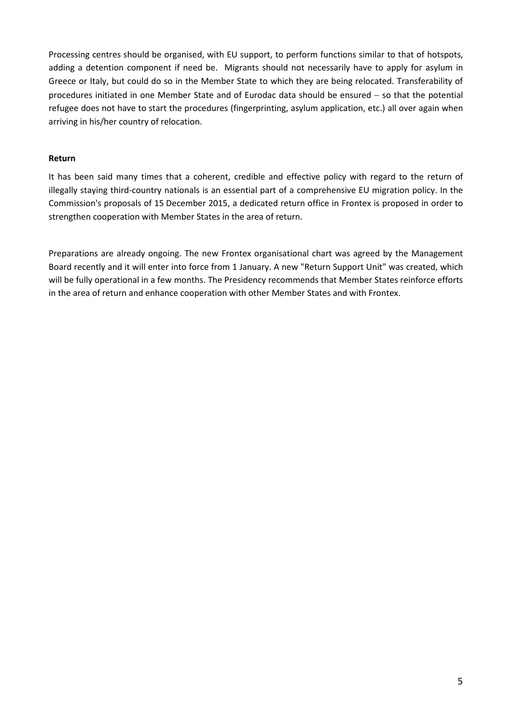Processing centres should be organised, with EU support, to perform functions similar to that of hotspots, adding a detention component if need be. Migrants should not necessarily have to apply for asylum in Greece or Italy, but could do so in the Member State to which they are being relocated. Transferability of procedures initiated in one Member State and of Eurodac data should be ensured − so that the potential refugee does not have to start the procedures (fingerprinting, asylum application, etc.) all over again when arriving in his/her country of relocation.

### **Return**

It has been said many times that a coherent, credible and effective policy with regard to the return of illegally staying third-country nationals is an essential part of a comprehensive EU migration policy. In the Commission's proposals of 15 December 2015, a dedicated return office in Frontex is proposed in order to strengthen cooperation with Member States in the area of return.

Preparations are already ongoing. The new Frontex organisational chart was agreed by the Management Board recently and it will enter into force from 1 January. A new "Return Support Unit" was created, which will be fully operational in a few months. The Presidency recommends that Member States reinforce efforts in the area of return and enhance cooperation with other Member States and with Frontex.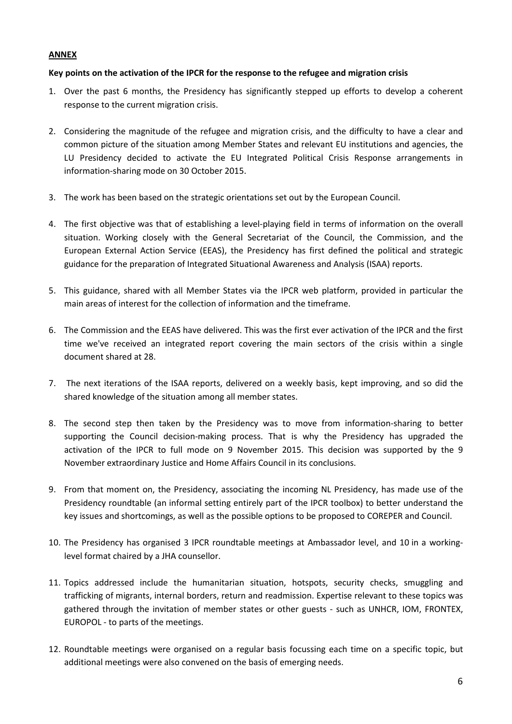## **ANNEX**

## **Key points on the activation of the IPCR for the response to the refugee and migration crisis**

- 1. Over the past 6 months, the Presidency has significantly stepped up efforts to develop a coherent response to the current migration crisis.
- 2. Considering the magnitude of the refugee and migration crisis, and the difficulty to have a clear and common picture of the situation among Member States and relevant EU institutions and agencies, the LU Presidency decided to activate the EU Integrated Political Crisis Response arrangements in information-sharing mode on 30 October 2015.
- 3. The work has been based on the strategic orientations set out by the European Council.
- 4. The first objective was that of establishing a level-playing field in terms of information on the overall situation. Working closely with the General Secretariat of the Council, the Commission, and the European External Action Service (EEAS), the Presidency has first defined the political and strategic guidance for the preparation of Integrated Situational Awareness and Analysis (ISAA) reports.
- 5. This guidance, shared with all Member States via the IPCR web platform, provided in particular the main areas of interest for the collection of information and the timeframe.
- 6. The Commission and the EEAS have delivered. This was the first ever activation of the IPCR and the first time we've received an integrated report covering the main sectors of the crisis within a single document shared at 28.
- 7. The next iterations of the ISAA reports, delivered on a weekly basis, kept improving, and so did the shared knowledge of the situation among all member states.
- 8. The second step then taken by the Presidency was to move from information-sharing to better supporting the Council decision-making process. That is why the Presidency has upgraded the activation of the IPCR to full mode on 9 November 2015. This decision was supported by the 9 November extraordinary Justice and Home Affairs Council in its conclusions.
- 9. From that moment on, the Presidency, associating the incoming NL Presidency, has made use of the Presidency roundtable (an informal setting entirely part of the IPCR toolbox) to better understand the key issues and shortcomings, as well as the possible options to be proposed to COREPER and Council.
- 10. The Presidency has organised 3 IPCR roundtable meetings at Ambassador level, and 10 in a workinglevel format chaired by a JHA counsellor.
- 11. Topics addressed include the humanitarian situation, hotspots, security checks, smuggling and trafficking of migrants, internal borders, return and readmission. Expertise relevant to these topics was gathered through the invitation of member states or other guests - such as UNHCR, IOM, FRONTEX, EUROPOL - to parts of the meetings.
- 12. Roundtable meetings were organised on a regular basis focussing each time on a specific topic, but additional meetings were also convened on the basis of emerging needs.